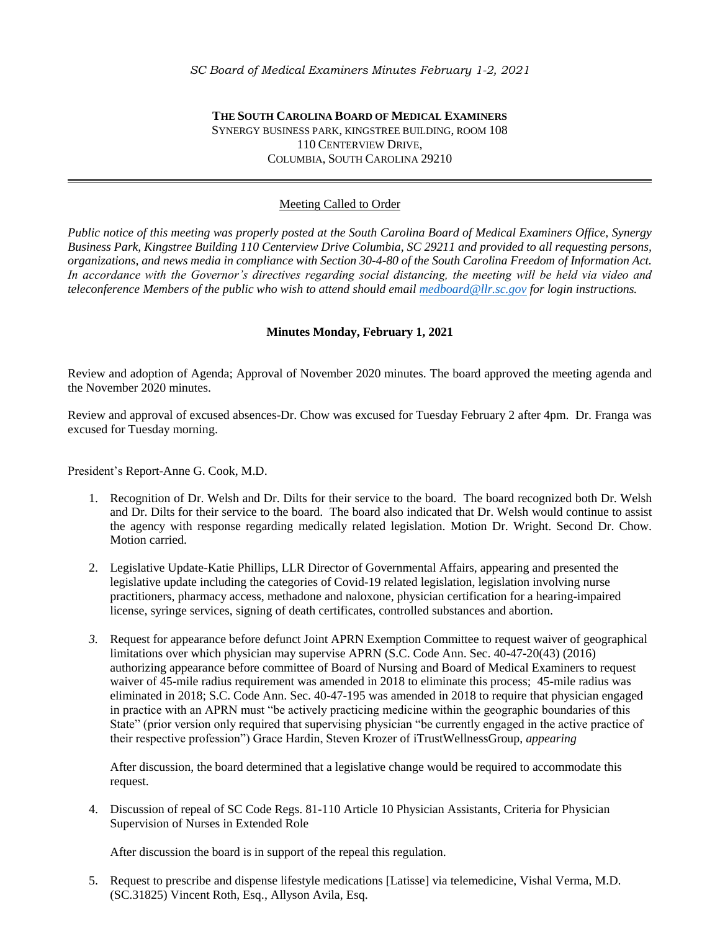## **THE SOUTH CAROLINA BOARD OF MEDICAL EXAMINERS** SYNERGY BUSINESS PARK, KINGSTREE BUILDING, ROOM 108 110 CENTERVIEW DRIVE, COLUMBIA, SOUTH CAROLINA 29210

# Meeting Called to Order

*Public notice of this meeting was properly posted at the South Carolina Board of Medical Examiners Office, Synergy Business Park, Kingstree Building 110 Centerview Drive Columbia, SC 29211 and provided to all requesting persons, organizations, and news media in compliance with Section 30-4-80 of the South Carolina Freedom of Information Act.*  In accordance with the Governor's directives regarding social distancing, the meeting will be held via video and *teleconference Members of the public who wish to attend should emai[l medboard@llr.sc.gov](mailto:medboard@llr.sc.gov) for login instructions.*

#### **Minutes Monday, February 1, 2021**

Review and adoption of Agenda; Approval of November 2020 minutes. The board approved the meeting agenda and the November 2020 minutes.

Review and approval of excused absences-Dr. Chow was excused for Tuesday February 2 after 4pm. Dr. Franga was excused for Tuesday morning.

President's Report-Anne G. Cook, M.D.

- 1. Recognition of Dr. Welsh and Dr. Dilts for their service to the board. The board recognized both Dr. Welsh and Dr. Dilts for their service to the board. The board also indicated that Dr. Welsh would continue to assist the agency with response regarding medically related legislation. Motion Dr. Wright. Second Dr. Chow. Motion carried.
- 2. Legislative Update-Katie Phillips, LLR Director of Governmental Affairs, appearing and presented the legislative update including the categories of Covid-19 related legislation, legislation involving nurse practitioners, pharmacy access, methadone and naloxone, physician certification for a hearing-impaired license, syringe services, signing of death certificates, controlled substances and abortion.
- *3.* Request for appearance before defunct Joint APRN Exemption Committee to request waiver of geographical limitations over which physician may supervise APRN (S.C. Code Ann. Sec. 40-47-20(43) (2016) authorizing appearance before committee of Board of Nursing and Board of Medical Examiners to request waiver of 45-mile radius requirement was amended in 2018 to eliminate this process; 45-mile radius was eliminated in 2018; S.C. Code Ann. Sec. 40-47-195 was amended in 2018 to require that physician engaged in practice with an APRN must "be actively practicing medicine within the geographic boundaries of this State" (prior version only required that supervising physician "be currently engaged in the active practice of their respective profession") Grace Hardin, Steven Krozer of iTrustWellnessGroup, *appearing*

After discussion, the board determined that a legislative change would be required to accommodate this request.

4. Discussion of repeal of SC Code Regs. 81-110 Article 10 Physician Assistants, Criteria for Physician Supervision of Nurses in Extended Role

After discussion the board is in support of the repeal this regulation.

5. Request to prescribe and dispense lifestyle medications [Latisse] via telemedicine, Vishal Verma, M.D. (SC.31825) Vincent Roth, Esq., Allyson Avila, Esq.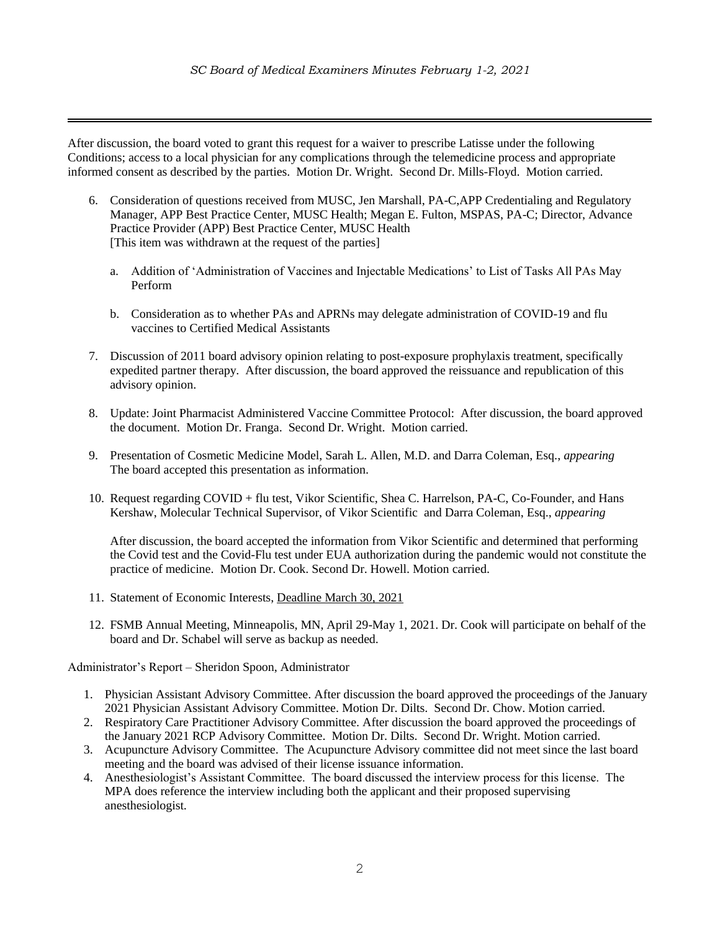After discussion, the board voted to grant this request for a waiver to prescribe Latisse under the following Conditions; access to a local physician for any complications through the telemedicine process and appropriate informed consent as described by the parties. Motion Dr. Wright. Second Dr. Mills-Floyd. Motion carried.

- 6. Consideration of questions received from MUSC, Jen Marshall, PA-C,APP Credentialing and Regulatory Manager, APP Best Practice Center, MUSC Health; Megan E. Fulton, MSPAS, PA-C; Director, Advance Practice Provider (APP) Best Practice Center, MUSC Health [This item was withdrawn at the request of the parties]
	- a. Addition of 'Administration of Vaccines and Injectable Medications' to List of Tasks All PAs May Perform
	- b. Consideration as to whether PAs and APRNs may delegate administration of COVID-19 and flu vaccines to Certified Medical Assistants
- 7. Discussion of 2011 board advisory opinion relating to post-exposure prophylaxis treatment, specifically expedited partner therapy. After discussion, the board approved the reissuance and republication of this advisory opinion.
- 8. Update: Joint Pharmacist Administered Vaccine Committee Protocol: After discussion, the board approved the document. Motion Dr. Franga. Second Dr. Wright. Motion carried.
- 9. Presentation of Cosmetic Medicine Model, Sarah L. Allen, M.D. and Darra Coleman, Esq., *appearing* The board accepted this presentation as information.
- 10. Request regarding COVID + flu test, Vikor Scientific, Shea C. Harrelson, PA-C, Co-Founder, and Hans Kershaw, Molecular Technical Supervisor, of Vikor Scientific and Darra Coleman, Esq., *appearing*

After discussion, the board accepted the information from Vikor Scientific and determined that performing the Covid test and the Covid-Flu test under EUA authorization during the pandemic would not constitute the practice of medicine. Motion Dr. Cook. Second Dr. Howell. Motion carried.

- 11. Statement of Economic Interests, Deadline March 30, 2021
- 12. FSMB Annual Meeting, Minneapolis, MN, April 29-May 1, 2021. Dr. Cook will participate on behalf of the board and Dr. Schabel will serve as backup as needed.

Administrator's Report – Sheridon Spoon, Administrator

- 1. Physician Assistant Advisory Committee. After discussion the board approved the proceedings of the January 2021 Physician Assistant Advisory Committee. Motion Dr. Dilts. Second Dr. Chow. Motion carried.
- 2. Respiratory Care Practitioner Advisory Committee. After discussion the board approved the proceedings of the January 2021 RCP Advisory Committee. Motion Dr. Dilts. Second Dr. Wright. Motion carried.
- 3. Acupuncture Advisory Committee. The Acupuncture Advisory committee did not meet since the last board meeting and the board was advised of their license issuance information.
- 4. Anesthesiologist's Assistant Committee. The board discussed the interview process for this license. The MPA does reference the interview including both the applicant and their proposed supervising anesthesiologist.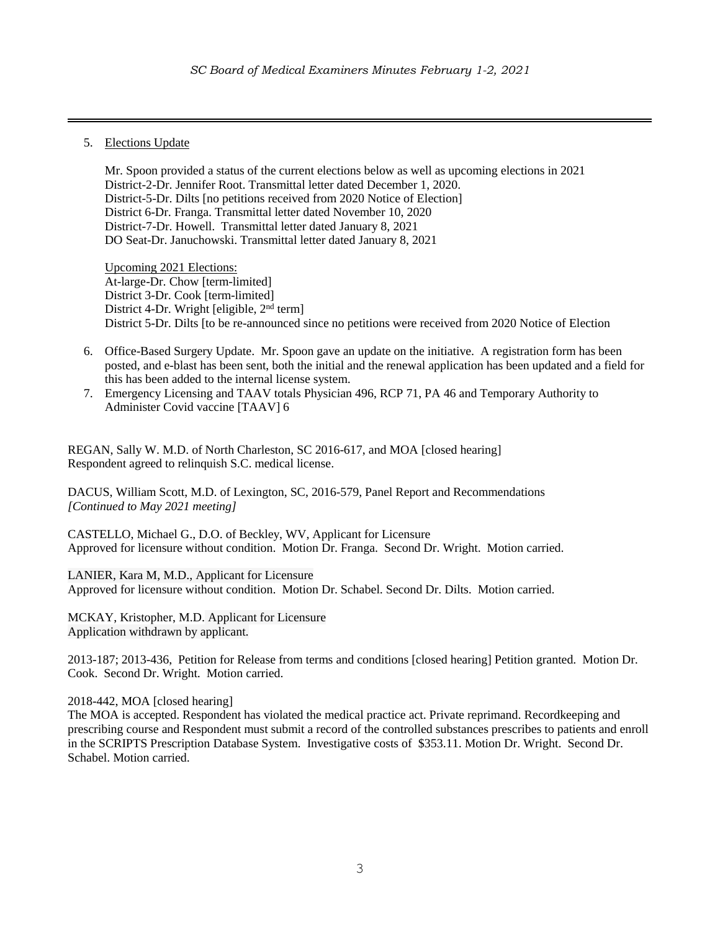5. Elections Update

Mr. Spoon provided a status of the current elections below as well as upcoming elections in 2021 District-2-Dr. Jennifer Root. Transmittal letter dated December 1, 2020. District-5-Dr. Dilts [no petitions received from 2020 Notice of Election] District 6-Dr. Franga. Transmittal letter dated November 10, 2020 District-7-Dr. Howell. Transmittal letter dated January 8, 2021 DO Seat-Dr. Januchowski. Transmittal letter dated January 8, 2021

Upcoming 2021 Elections: At-large-Dr. Chow [term-limited] District 3-Dr. Cook [term-limited] District 4-Dr. Wright [eligible, 2<sup>nd</sup> term] District 5-Dr. Dilts [to be re-announced since no petitions were received from 2020 Notice of Election

- 6. Office-Based Surgery Update. Mr. Spoon gave an update on the initiative. A registration form has been posted, and e-blast has been sent, both the initial and the renewal application has been updated and a field for this has been added to the internal license system.
- 7. Emergency Licensing and TAAV totals Physician 496, RCP 71, PA 46 and Temporary Authority to Administer Covid vaccine [TAAV] 6

REGAN, Sally W. M.D. of North Charleston, SC 2016-617, and MOA [closed hearing] Respondent agreed to relinquish S.C. medical license.

DACUS, William Scott, M.D. of Lexington, SC, 2016-579, Panel Report and Recommendations *[Continued to May 2021 meeting]*

CASTELLO, Michael G., D.O. of Beckley, WV, Applicant for Licensure Approved for licensure without condition. Motion Dr. Franga. Second Dr. Wright. Motion carried.

LANIER, Kara M, M.D., Applicant for Licensure Approved for licensure without condition. Motion Dr. Schabel. Second Dr. Dilts. Motion carried.

MCKAY, Kristopher, M.D. Applicant for Licensure Application withdrawn by applicant.

2013-187; 2013-436, Petition for Release from terms and conditions [closed hearing] Petition granted. Motion Dr. Cook. Second Dr. Wright. Motion carried.

### 2018-442, MOA [closed hearing]

The MOA is accepted. Respondent has violated the medical practice act. Private reprimand. Recordkeeping and prescribing course and Respondent must submit a record of the controlled substances prescribes to patients and enroll in the SCRIPTS Prescription Database System. Investigative costs of \$353.11. Motion Dr. Wright. Second Dr. Schabel. Motion carried.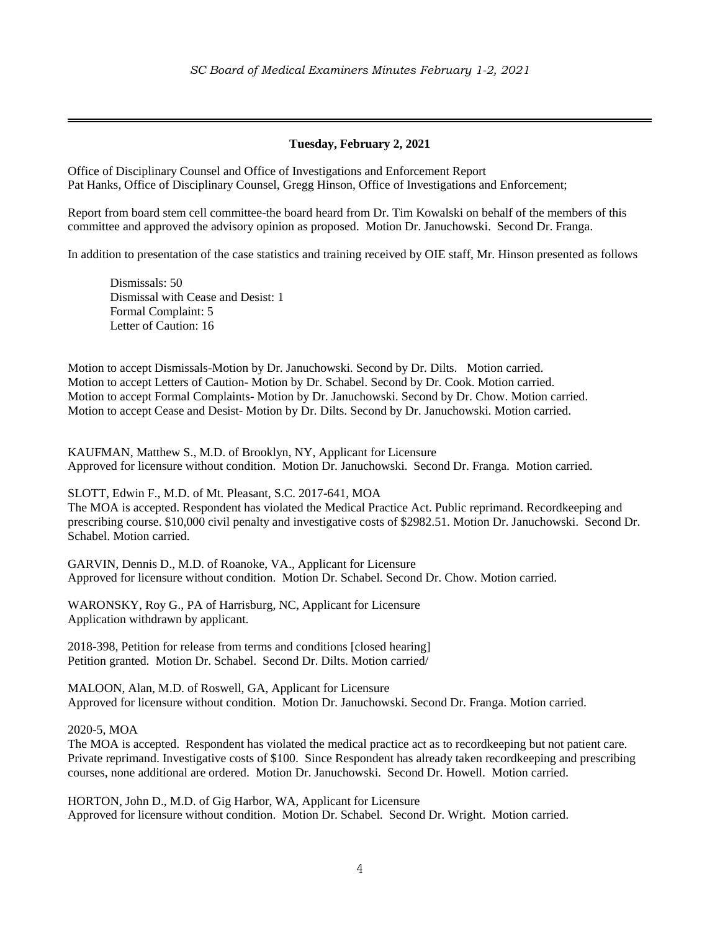# **Tuesday, February 2, 2021**

Office of Disciplinary Counsel and Office of Investigations and Enforcement Report Pat Hanks, Office of Disciplinary Counsel, Gregg Hinson, Office of Investigations and Enforcement;

Report from board stem cell committee-the board heard from Dr. Tim Kowalski on behalf of the members of this committee and approved the advisory opinion as proposed. Motion Dr. Januchowski. Second Dr. Franga.

In addition to presentation of the case statistics and training received by OIE staff, Mr. Hinson presented as follows

Dismissals: 50 Dismissal with Cease and Desist: 1 Formal Complaint: 5 Letter of Caution: 16

Motion to accept Dismissals-Motion by Dr. Januchowski. Second by Dr. Dilts. Motion carried. Motion to accept Letters of Caution- Motion by Dr. Schabel. Second by Dr. Cook. Motion carried. Motion to accept Formal Complaints- Motion by Dr. Januchowski. Second by Dr. Chow. Motion carried. Motion to accept Cease and Desist- Motion by Dr. Dilts. Second by Dr. Januchowski. Motion carried.

KAUFMAN, Matthew S., M.D. of Brooklyn, NY, Applicant for Licensure Approved for licensure without condition. Motion Dr. Januchowski. Second Dr. Franga. Motion carried.

SLOTT, Edwin F., M.D. of Mt. Pleasant, S.C. 2017-641, MOA The MOA is accepted. Respondent has violated the Medical Practice Act. Public reprimand. Recordkeeping and prescribing course. \$10,000 civil penalty and investigative costs of \$2982.51. Motion Dr. Januchowski. Second Dr. Schabel. Motion carried.

GARVIN, Dennis D., M.D. of Roanoke, VA., Applicant for Licensure Approved for licensure without condition. Motion Dr. Schabel. Second Dr. Chow. Motion carried.

WARONSKY, Roy G., PA of Harrisburg, NC, Applicant for Licensure Application withdrawn by applicant.

2018-398, Petition for release from terms and conditions [closed hearing] Petition granted. Motion Dr. Schabel. Second Dr. Dilts. Motion carried/

MALOON, Alan, M.D. of Roswell, GA, Applicant for Licensure Approved for licensure without condition. Motion Dr. Januchowski. Second Dr. Franga. Motion carried.

2020-5, MOA

The MOA is accepted. Respondent has violated the medical practice act as to recordkeeping but not patient care. Private reprimand. Investigative costs of \$100. Since Respondent has already taken recordkeeping and prescribing courses, none additional are ordered. Motion Dr. Januchowski. Second Dr. Howell. Motion carried.

HORTON, John D., M.D. of Gig Harbor, WA, Applicant for Licensure Approved for licensure without condition. Motion Dr. Schabel. Second Dr. Wright. Motion carried.